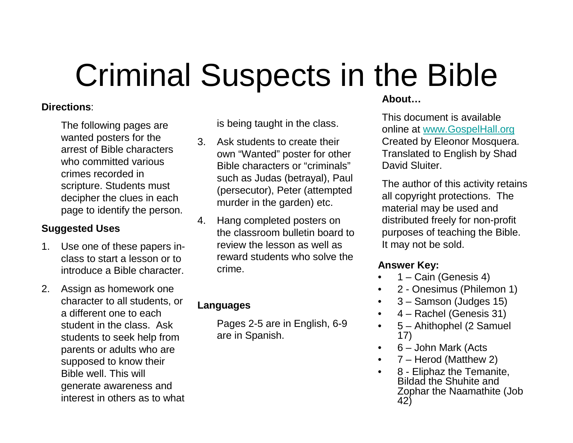# Criminal Suspects in the Bible

### **Directions**:

The following pages are wanted posters for the arrest of Bible characters who committed various crimes recorded in scripture. Students must decipher the clues in each page to identify the person.

### **Suggested Uses**

- 1. Use one of these papers inclass to start a lesson or to introduce a Bible character.
- 2. Assign as homework one character to all students, or a different one to each student in the class. Ask students to seek help from parents or adults who are supposed to know their Bible well. This will generate awareness and interest in others as to what

is being taught in the class.

- 3. Ask students to create their own "Wanted" poster for other Bible characters or "criminals" such as Judas (betrayal), Paul (persecutor), Peter (attempted murder in the garden) etc.
- 4. Hang completed posters on the classroom bulletin board to review the lesson as well as reward students who solve the crime.

### **Languages**

Pages 2-5 are in English, 6-9 are in Spanish.

### **About…**

 This document is available online at www.GospelHall.org Created by Eleonor Mosquera. Translated to English by Shad David Sluiter.

The author of this activity retains all copyright protections. The material may be used and distributed freely for non-profit purposes of teaching the Bible. It may not be sold.

### **Answer Key:**

•

- 1 Cain (Genesis 4)•
- 2 Onesimus (Philemon 1)•
- •3 – Samson (Judges 15)
- 4 Rachel (Genesis 31)
- 5 Ahithophel (2 Samuel •17)
- 6 John Mark (Acts $\bullet$
- 7 Herod (Matthew 2)•
- 8 Eliphaz the Temanite, •Bildad the Shuhite and Zophar the Naamathite (Job 42)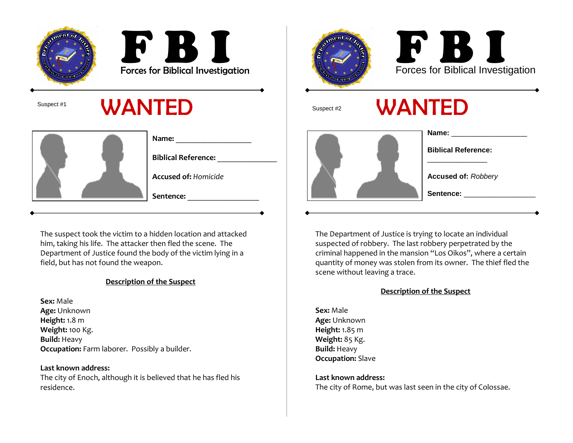



### Suspect #1  $\mathsf{WANTED}$  suspect #

|  |                             | Name:                      |
|--|-----------------------------|----------------------------|
|  |                             | <b>Biblical Reference:</b> |
|  | <b>Accused of: Homicide</b> |                            |
|  |                             | Sentence:                  |

The suspect took the victim to a hidden location and attacked him, taking his life. The attacker then fled the scene. The Department of Justice found the body of the victim lying in a field, but has not found the weapon.

### Description of the Suspect

**Sex:** Male **Age:** Unknown **Height:** 1.8 m **Weight:** 100 Kg. **Build:** Heavy Occupation: Farm laborer. Possibly a builder.

Last known address: The city of Enoch, although it is believed that he has fled his residence.





| Name:                      |
|----------------------------|
| <b>Biblical Reference:</b> |
| <b>Accused of: Robbery</b> |
| Sentence:                  |
|                            |

The Department of Justice is trying to locate an individual suspected of robbery. The last robbery perpetrated by the criminal happened in the mansion "Los Oikos", where a certain quantity of money was stolen from its owner. The thief fled thescene without leaving a trace.

#### Description of the Suspect

**Sex:** Male **Age:** Unknown **Height:** 1.85 m **Weight:** 85 Kg. **Build:** Heavy **Occupation:** Slave

Last known address: The city of Rome, but was last seen in the city of Colossae.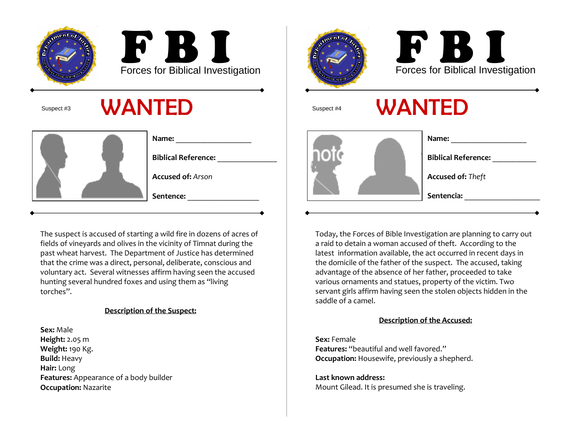



Suspect #3

### $\mathbf{W}$   $\mathbf{A}$   $\mathbf{N}$  **TED**  $\qquad \qquad$   $\qquad \qquad$   $\qquad \qquad$   $\qquad \qquad$   $\qquad \qquad$   $\qquad \qquad$   $\qquad$   $\qquad \qquad$   $\qquad \qquad$   $\qquad$   $\qquad$   $\qquad$   $\qquad$   $\qquad \qquad$   $\qquad$   $\qquad$   $\qquad$   $\qquad$   $\qquad$   $\qquad$   $\qquad$   $\qquad$   $\qquad$   $\qquad$   $\qquad$   $\qquad$   $\qquad$

| Name:                      |
|----------------------------|
| <b>Biblical Reference:</b> |
| <b>Accused of: Arson</b>   |
| Sentence:                  |

The suspect is accused of starting a wild fire in dozens of acres of fields of vineyards and olives in the vicinity of Timnat during the past wheat harvest. The Department of Justice has determined that the crime was a direct, personal, deliberate, conscious and voluntary act. Several witnesses affirm having seen the accusedhunting several hundred foxes and using them as "living torches".

### Description of the Suspect:

**Sex:** Male **Height:** 2.05 m **Weight:** 190 Kg. **Build:** Heavy Hair: Long**Features:** Appearance of a body builder Occupation: Nazarite





### WANTED



| Name:                      |
|----------------------------|
| <b>Biblical Reference:</b> |
| <b>Accused of: Theft</b>   |
| Sentencia:                 |
|                            |

Today, the Forces of Bible Investigation are planning to carry out a raid to detain a woman accused of theft. According to the latest information available, the act occurred in recent days in the domicile of the father of the suspect. The accused, taking advantage of the absence of her father, proceeded to take various ornaments and statues, property of the victim. Two servant girls affirm having seen the stolen objects hidden in the saddle of a camel.

### Description of the Accused:

**Sex:** Female Features: "beautiful and well favored."**Occupation:** Housewife, previously a shepherd.

Last known address: Mount Gilead. It is presumed she is traveling.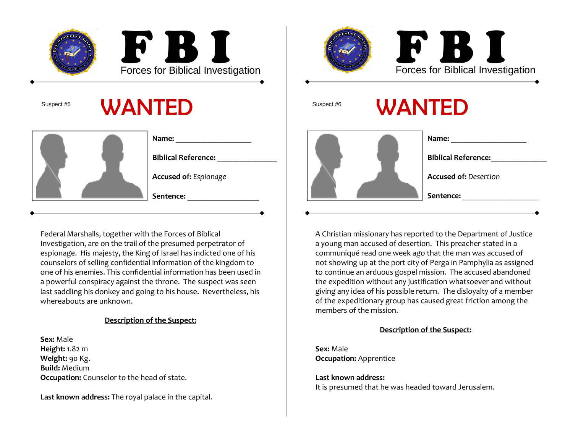



Suspect #5

### $5$  WANTED Suspect #6

| Name:                        |
|------------------------------|
| <b>Biblical Reference:</b>   |
| <b>Accused of: Espionage</b> |
| Sentence:                    |

Federal Marshalls, together with the Forces of Biblical Investigation, are on the trail of the presumed perpetrator of espionage. His majesty, the King of Israel has indicted one of his counselors of selling confidential information of the kingdom to one of his enemies. This confidential information has been used in a powerful conspiracy against the throne. The suspect was seen last saddling his donkey and going to his house. Nevertheless, his whereabouts are unknown.

### Description of the Suspect:

Sex: Male**Height:** 1.82 m **Weight:** 90 Kg. **Build:** Medium **Occupation:** Counselor to the head of state.

Last known address: The royal palace in the capital.



A Christian missionary has reported to the Department of Justicea young man accused of desertion. This preacher stated in a communiqué read one week ago that the man was accused of not showing up at the port city of Perga in Pamphylia as assigned to continue an arduous gospel mission. The accused abandoned the expedition without any justification whatsoever and without giving any idea of his possible return. The disloyalty of a member of the expeditionary group has caused great friction among the members of the mission.

### Description of the Suspect:

**Sex:** Male **Occupation:** Apprentice

Last known address: It is presumed that he was headed toward Jerusalem.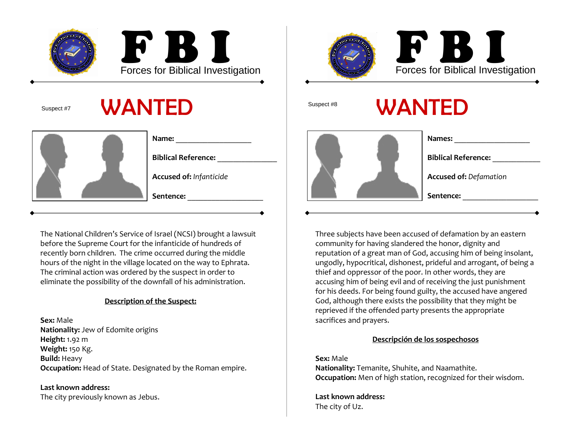

Suspect #7

### 7 WANTED Suspect #8

| Name:                          |
|--------------------------------|
| <b>Biblical Reference:</b>     |
| <b>Accused of: Infanticide</b> |
| Sentence:                      |

The National Children's Service of Israel (NCSI) brought a lawsuit before the Supreme Court for the infanticide of hundreds of recently born children. The crime occurred during the middle hours of the night in the village located on the way to Ephrata.The criminal action was ordered by the suspect in order to eliminate the possibility of the downfall of his administration.

### Description of the Suspect:

**Sex:** Male **Nationality:** Jew of Edomite origins **Height:** 1.92 m **Weight:** 150 Kg. **Build:** Heavy **Occupation:** Head of State. Designated by the Roman empire.

Last known address: The city previously known as Jebus.



Three subjects have been accused of defamation by an eastern community for having slandered the honor, dignity and reputation of a great man of God, accusing him of being insolant, ungodly, hypocritical, dishonest, prideful and arrogant, of being a thief and oppressor of the poor. In other words, they are accusing him of being evil and of receiving the just punishment for his deeds. For being found guilty, the accused have angered God, although there exists the possibility that they might be reprieved if the offended party presents the appropriate sacrifices and prayers.

#### Descripción de los sospechosos

**Sex:** Male **Nationality:** Temanite, Shuhite, and Naamathite. **Occupation:** Men of high station, recognized for their wisdom.

Last known address:The city of Uz.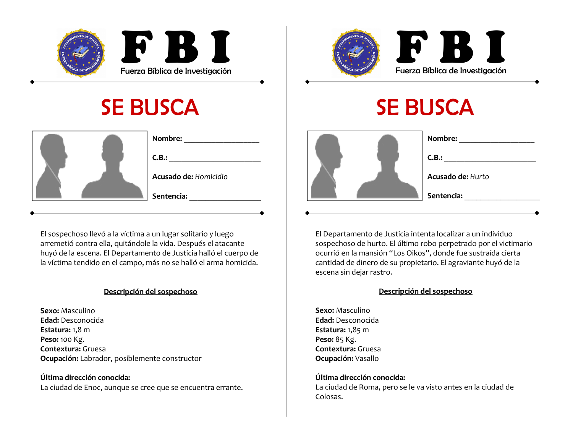



|  | Nombre:               |
|--|-----------------------|
|  | C.B.:                 |
|  | Acusado de: Homicidio |
|  | Sentencia:            |

El sospechoso llevó a la víctima a un lugar solitario y luego arremetió contra ella, quitándole la vida. Después el atacante huyó de la escena. El Departamento de Justicia halló el cuerpo de la víctima tendido en el campo, más no se halló el arma homicida.

#### Descripción del sospechoso

**Sexo:** Masculino **Edad:** Desconocida **Estatura:** 1,8 m **Peso:** 100 Kg. **Contextura:** Gruesa **Ocupación:** Labrador, posiblemente constructor

Última dirección conocida:La ciudad de Enoc, aunque se cree que se encuentra errante.

# SE BUSCA



| Nombre:                  |
|--------------------------|
| C.B.:                    |
| <b>Acusado de: Hurto</b> |
| Sentencia:               |
|                          |

El Departamento de Justicia intenta localizar a un individuo sospechoso de hurto. El último robo perpetrado por el victimario ocurrió en la mansión "Los Oikos", donde fue sustraída cierta cantidad de dinero de su propietario. El agraviante huyó de la escena sin dejar rastro.

#### Descripción del sospechoso

**Sexo:** Masculino **Edad:** Desconocida **Estatura:** 1,85 m **Peso:** 85 Kg. **Contextura:** Gruesa **Ocupación:** Vasallo

#### Última dirección conocida:

La ciudad de Roma, pero se le va visto antes en la ciudad de Colosas.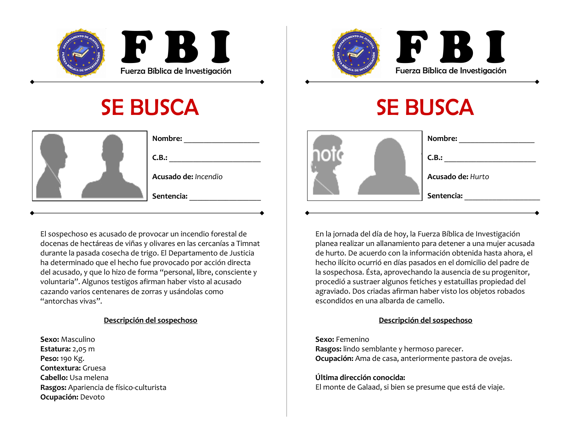



|  |                      | Nombre:    |
|--|----------------------|------------|
|  |                      | C.B.:      |
|  | Acusado de: Incendio |            |
|  |                      | Sentencia: |

El sospechoso es acusado de provocar un incendio forestal de docenas de hectáreas de viñas y olivares en las cercanías a Timnatdurante la pasada cosecha de trigo. El Departamento de Justicia ha determinado que el hecho fue provocado por acción directa del acusado, y que lo hizo de forma "personal, libre, consciente y voluntaria". Algunos testigos afirman haber visto al acusado cazando varios centenares de zorras y usándolas como "antorchas vivas".

#### Descripción del sospechoso

**Sexo:** Masculino **Estatura:** 2,05 m **Peso:** 190 Kg. **Contextura:** Gruesa **Cabello:** Usa melena **Rasgos:** Apariencia de físico-culturista Ocupación: Devoto

# SE BUSCA

|--|--|--|

| Nombre:                  |
|--------------------------|
| C.B.:                    |
| <b>Acusado de: Hurto</b> |
| Sentencia:               |
|                          |

En la jornada del día de hoy, la Fuerza Bíblica de Investigación planea realizar un allanamiento para detener a una mujer acusada de hurto. De acuerdo con la información obtenida hasta ahora, el hecho ilícito ocurrió en días pasados en el domicilio del padre de la sospechosa. Ésta, aprovechando la ausencia de su progenitor, procedió a sustraer algunos fetiches y estatuillas propiedad del agraviado. Dos criadas afirman haber visto los objetos robados escondidos en una albarda de camello.

#### Descripción del sospechoso

**Sexo:** Femenino **Rasgos:** lindo semblante y hermoso parecer. **Ocupación:** Ama de casa, anteriormente pastora de ovejas.

Última dirección conocida: El monte de Galaad, si bien se presume que está de viaje.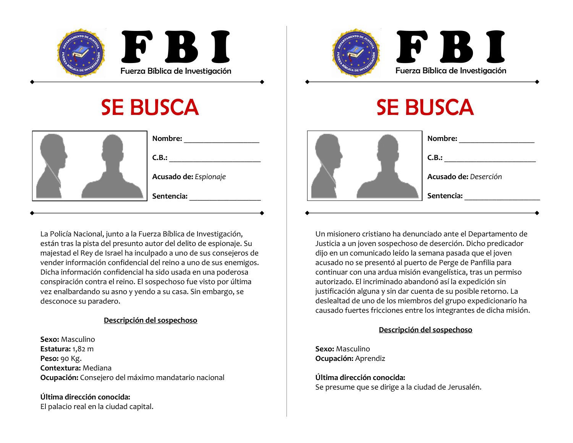



|  | Nombre:               |
|--|-----------------------|
|  | C.B.:                 |
|  | Acusado de: Espionaje |
|  | Sentencia:            |

La Policía Nacional, junto a la Fuerza Bíblica de Investigación, están tras la pista del presunto autor del delito de espionaje. Su majestad el Rey de Israel ha inculpado a uno de sus consejeros de vender información confidencial del reino a uno de sus enemigos. Dicha información confidencial ha sido usada en una poderosa conspiración contra el reino. El sospechoso fue visto por última vez enalbardando su asno y yendo a su casa. Sin embargo, se desconoce su paradero.

### Descripción del sospechoso

**Sexo:** Masculino **Estatura:** 1,82 m **Peso:** 90 Kg. **Contextura:** Mediana **Ocupación:** Consejero del máximo mandatario nacional

Última dirección conocida:El palacio real en la ciudad capital.

# SE BUSCA

|--|--|

| Nombre:               |
|-----------------------|
| C.B.:                 |
| Acusado de: Deserción |
| Sentencia:            |
|                       |

Un misionero cristiano ha denunciado ante el Departamento de Justicia a un joven sospechoso de deserción. Dicho predicador dijo en un comunicado leído la semana pasada que el joven acusado no se presentó al puerto de Perge de Panfilia para continuar con una ardua misión evangelística, tras un permiso autorizado. El incriminado abandonó así la expedición sin justificación alguna y sin dar cuenta de su posible retorno. La deslealtad de uno de los miembros del grupo expedicionario ha causado fuertes fricciones entre los integrantes de dicha misión.

### Descripción del sospechoso

**Sexo:** Masculino **Ocupación:** Aprendiz

Última dirección conocida: Se presume que se dirige a la ciudad de Jerusalén.